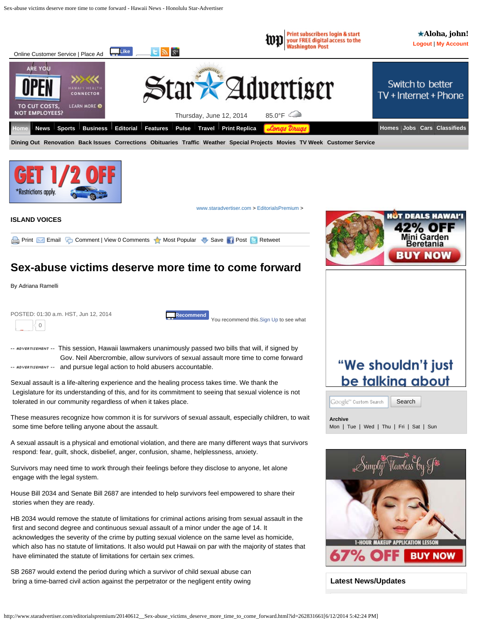<span id="page-0-0"></span>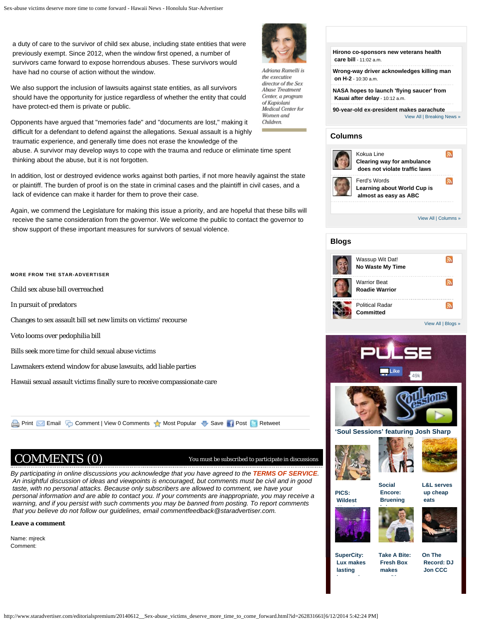a duty of care to the survivor of child sex abuse, including state entities that were previously exempt. Since 2012, when the window first opened, a number of survivors came forward to expose horrendous abuses. These survivors would have had no course of action without the window.

We also support the inclusion of lawsuits against state entities, as all survivors should have the opportunity for justice regardless of whether the entity that could have protect-ed them is private or public.

Opponents have argued that "memories fade" and "documents are lost," making it difficult for a defendant to defend against the allegations. Sexual assault is a highly traumatic experience, and generally time does not erase the knowledge of the abuse. A survivor may develop ways to cope with the trauma and reduce or eliminate time spent thinking about the abuse, but it is not forgotten.

In addition, lost or destroyed evidence works against both parties, if not more heavily against the state or plaintiff. The burden of proof is on the state in criminal cases and the plaintiff in civil cases, and a lack of evidence can make it harder for them to prove their case.

Again, we commend the Legislature for making this issue a priority, and are hopeful that these bills will receive the same consideration from the governor. We welcome the public to contact the governor to show support of these important measures for survivors of sexual violence.

**MORE FROM THE STAR-ADVERTISER**

[Child sex abuse bill overreached](http://www.staradvertiser.com/editorials/20110715_Child_sex_abuse_bill_overreached.html) 

[In pursuit of predators](http://www.staradvertiser.com/editorialspremium/20120205_In_pursuit_of_predators.html) 

[Changes to sex assault bill set new limits on victims' recourse](http://www.staradvertiser.com/newspremium/20140401_Changes_to_sex_assault_bill_set_new_limits_on_victims_recourse.html) 

[Veto looms over pedophilia bill](http://www.staradvertiser.com/news/20110711__Veto_looms_over_pedophilia_bill.html) 

[Bills seek more time for child sexual abuse victims](http://www.staradvertiser.com/newspremium/20140323_Bills_seek__more_time__to_file_suit_.html) 

[Lawmakers extend window for abuse lawsuits, add liable parties](http://www.staradvertiser.com/newspremium/20140425__Lawmakers_extend_window_for_abuse_lawsuits_add_liable_parties.html) 

[Hawaii sexual assault victims finally sure to receive compassionate care](http://www.staradvertiser.com/editorialspremium/20130428_Hawaii_sexual_assault_victims_finally_sure_to_receive_compassionate_care.html) 

**[Print](#page-0-0) [Email](#page-0-0) Comment | View 0 [Comments](#page-1-0) Most [Popular](http://www.staradvertiser.com/mostpopular?period=W&numItems=25) [Save](#page-0-0) Prince [Retweet](http://twitter.com/home?status=Check+Out+This+Link+http://www.staradvertiser.com/editorialspremium/20140612__Sex-abuse_victims_deserve_more_time_to_come_forward.html?id=262831661)** 

## <span id="page-1-0"></span>COMMENTS (O) You must be subscribed to participate in discussions

*By participating in online discussions you acknowledge that you have agreed to the [TERMS OF SERVICE](http://www.staradvertiser.com/about/sa_terms_of_service.html). An insightful discussion of ideas and viewpoints is encouraged, but comments must be civil and in good taste, with no personal attacks. Because only subscribers are allowed to comment, we have your personal information and are able to contact you. If your comments are inappropriate, you may receive a warning, and if you persist with such comments you may be banned from posting. To report comments that you believe do not follow our guidelines, email commentfeedback@staradvertiser.com.*

**Leave a comment**

Name: mjreck Comment:



Adriana Ramelli is the executive director of the Sex **Abuse Treatment** Center, a program of Kanjolani Medical Center for Women and Children.





 **[Learning about World Cup is](http://www.staradvertiser.com/sportspremium/20140612_Learning_about_World_Cup_is_almost_as_easy_as_ABC.html)** Ferd's Words

 **[almost as easy as ABC](http://www.staradvertiser.com/sportspremium/20140612_Learning_about_World_Cup_is_almost_as_easy_as_ABC.html)**

#### **Blogs**





#### **['Soul Sessions' featuring Josh Sharp](http://www.honolulupulse.com/2014/06/video-soul-sessions-josh-sharp-2/)**



 **[PICS:](http://www.honolulupulse.com/2014/06/pics-wildest-show-in-town/)**



**[Take A Bite:](http://www.honolulupulse.com/2014/06/take-a-bite-fresh-box/)  [Fresh Box](http://www.honolulupulse.com/2014/06/take-a-bite-fresh-box/)  [makes](http://www.honolulupulse.com/2014/06/take-a-bite-fresh-box/)**



[View All | Columns »](http://www.staradvertiser.com/columnists/)

区

Ĩ  **[Wildest](http://www.honolulupulse.com/2014/06/pics-wildest-show-in-town/) [Social](http://www.honolulupulse.com/2014/06/social-encore-matt-bruening/)**

١

 **[Encore:](http://www.honolulupulse.com/2014/06/social-encore-matt-bruening/)  [Bruening](http://www.honolulupulse.com/2014/06/social-encore-matt-bruening/)** **[L&L serves](http://www.honolulupulse.com/2014/06/l-and-l-cheap-eats/)  [up cheap](http://www.honolulupulse.com/2014/06/l-and-l-cheap-eats/)  [eats](http://www.honolulupulse.com/2014/06/l-and-l-cheap-eats/)**





 **[SuperCity:](http://www.honolulupulse.com/2014/06/supercity-adrian-lux/)  [lasting](http://www.honolulupulse.com/2014/06/supercity-adrian-lux/)  [Lux makes](http://www.honolulupulse.com/2014/06/supercity-adrian-lux/)** **[On The](http://www.honolulupulse.com/2014/06/on-the-record-dj-jon-ccc/)**

 **[Record: DJ](http://www.honolulupulse.com/2014/06/on-the-record-dj-jon-ccc/)  [Jon CCC](http://www.honolulupulse.com/2014/06/on-the-record-dj-jon-ccc/)**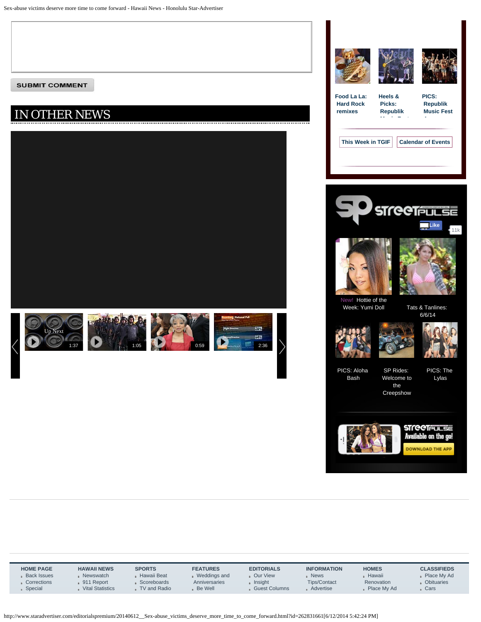**SUBMIT COMMENT** 

### IN OTHER NEWS









2:36

263 **COST** 





**STreeTFULSE** Available on the go! **DOWNLOAD THE APP** 

**[HOME PAGE](http://www.staradvertiser.com/)** [Back Issues](http://www.staradvertiser.com/archives/)

[Corrections](http://www.staradvertiser.com/news/corrections/) [Special](http://www.staradvertiser.com/specialprojects/)

**[HAWAII NEWS](http://www.staradvertiser.com/news/) [Newswatch](http://www.staradvertiser.com/newspremium/newswatchpremium/)** [911 Report](http://www.staradvertiser.com/newspremium/policeandfirepremium/) [Vital Statistics](http://www.staradvertiser.com/newspremium/vitalstatisticspremium/)

**[SPORTS](http://www.staradvertiser.com/sports)** [Hawaii Beat](http://www.staradvertiser.com/sportspremium/hawaiibeatpremium/) [Scoreboards](http://www.staradvertiser.com/sportspremium/scoreboardspremium/) [TV and Radio](http://www.staradvertiser.com/sportspremium/tvandradiopremium/) **[FEATURES](http://www.staradvertiser.com/features/)** [Weddings and](http://www.staradvertiser.com/celebrations/)  [Anniversaries](http://www.staradvertiser.com/celebrations/) [Be Well](http://www.staradvertiser.com/featurespremium/bewellpremium/)

**[EDITORIALS](http://www.staradvertiser.com/editorials/)** [Our View](http://www.staradvertiser.com/editorialspremium/saeditorialspremium/) **·** [Insight](http://www.staradvertiser.com/editorialspremium/insight/) [Guest Columns](http://www.staradvertiser.com/editorialspremium/guesteditorialspremium/) **INFORMATION** [News](http://www.staradvertiser.com/about/Star_Advertiser_Contact_Information.html#newsroom)  [Tips/Contact](http://www.staradvertiser.com/about/Star_Advertiser_Contact_Information.html#newsroom) [Advertise](http://www.staradvertiser.com/about/Star_Advertiser_Contact_Information.html#advertising)

**[HOMES](http://www.hawaiiislandhomes.com/)** [Hawaii](http://hawaiirenovation.staradvertiser.com/)  [Renovation](http://hawaiirenovation.staradvertiser.com/) [Place My Ad](http://www.staradvertiser.com/about/Star_Advertiser_Contact_Information.html#advertising) **[CLASSIFIEDS](http://www.hawaiisclassifieds.com/)** [Place My Ad](http://www.staradvertiser.com/about/Star_Advertiser_Contact_Information.html#advertising) [Obituaries](http://obits.staradvertiser.com/) [Cars](http://cars.staradvertiser.com/)

http://www.staradvertiser.com/editorialspremium/20140612\_\_Sex-abuse\_victims\_deserve\_more\_time\_to\_come\_forward.html?id=262831661[6/12/2014 5:42:24 PM]